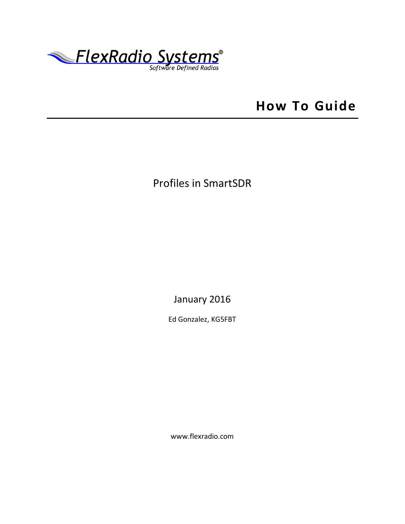

# **How To Guide**

## Profiles in SmartSDR

January 2016

Ed Gonzalez, KG5FBT

www.flexradio.com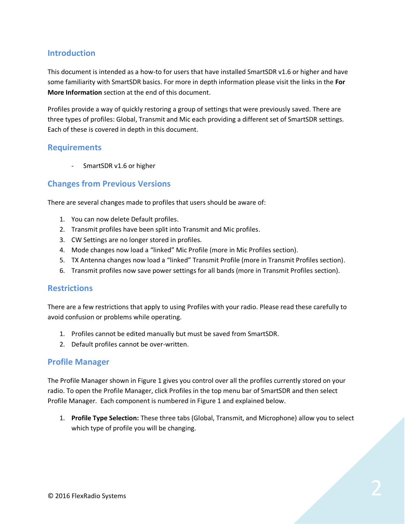## **Introduction**

This document is intended as a how-to for users that have installed SmartSDR v1.6 or higher and have some familiarity with SmartSDR basics. For more in depth information please visit the links in the **For More Information** section at the end of this document.

Profiles provide a way of quickly restoring a group of settings that were previously saved. There are three types of profiles: Global, Transmit and Mic each providing a different set of SmartSDR settings. Each of these is covered in depth in this document.

#### **Requirements**

SmartSDR v1.6 or higher

#### **Changes from Previous Versions**

There are several changes made to profiles that users should be aware of:

- 1. You can now delete Default profiles.
- 2. Transmit profiles have been split into Transmit and Mic profiles.
- 3. CW Settings are no longer stored in profiles.
- 4. Mode changes now load a "linked" Mic Profile (more in Mic Profiles section).
- 5. TX Antenna changes now load a "linked" Transmit Profile (more in Transmit Profiles section).
- 6. Transmit profiles now save power settings for all bands (more in Transmit Profiles section).

#### **Restrictions**

There are a few restrictions that apply to using Profiles with your radio. Please read these carefully to avoid confusion or problems while operating.

- 1. Profiles cannot be edited manually but must be saved from SmartSDR.
- 2. Default profiles cannot be over-written.

#### **Profile Manager**

The Profile Manager shown in Figure 1 gives you control over all the profiles currently stored on your radio. To open the Profile Manager, click Profiles in the top menu bar of SmartSDR and then select Profile Manager. Each component is numbered in Figure 1 and explained below.

1. **Profile Type Selection:** These three tabs (Global, Transmit, and Microphone) allow you to select which type of profile you will be changing.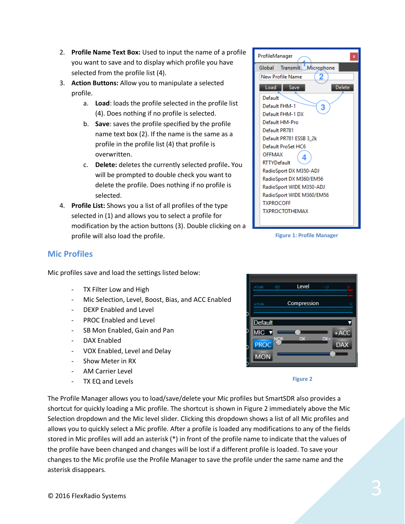- 
- © 2016 FlexRadio Systems 3

**Mic Profiles**

- 2. **Profile Name Text Box:** Used to input the name of a profile you want to save and to display which profile you have selected from the profile list (4).
- 3. **Action Buttons:** Allow you to manipulate a selected profile.
	- a. **Load**: loads the profile selected in the profile list (4). Does nothing if no profile is selected.
	- b. **Save**: saves the profile specified by the profile name text box (2). If the name is the same as a profile in the profile list (4) that profile is overwritten.
	- c. **Delete:** deletes the currently selected profile**.** You will be prompted to double check you want to delete the profile. Does nothing if no profile is selected.
- 4. **Profile List:** Shows you a list of all profiles of the type selected in (1) and allows you to select a profile for modification by the action buttons (3). Double clicking on a profile will also load the profile.

Mic Selection, Level, Boost, Bias, and ACC Enabled

Mic profiles save and load the settings listed below:

TX Filter Low and High

DAX Enabled

- Show Meter in RX AM Carrier Level TX EQ and Levels

DEXP Enabled and Level PROC Enabled and Level

SB Mon Enabled, Gain and Pan

- VOX Enabled, Level and Delay

#### ProfileManager Global Transmit Microphone **New Profile Name** 2 Delete Load Save Default Default FHM-1 3 Default FHM-1 DX Default HM-Pro Default PR781 Default PR781 ESSB 3 2k Default ProSet HC6 **OFFMAX** 4 **RTTYDefault** RadioSport DX M350-ADJ RadioSport DX M360/EM56 RadioSport WIDE M350-ADJ RadioSport WIDE M360/EM56 **TXPROCOFF TXPROCTOTHEMAX**

**Figure 1: Profile Manager**



**Figure 2**

The Profile Manager allows you to load/save/delete your Mic profiles but SmartSDR also provides a shortcut for quickly loading a Mic profile. The shortcut is shown in Figure 2 immediately above the Mic Selection dropdown and the Mic level slider. Clicking this dropdown shows a list of all Mic profiles and allows you to quickly select a Mic profile. After a profile is loaded any modifications to any of the fields stored in Mic profiles will add an asterisk (\*) in front of the profile name to indicate that the values of the profile have been changed and changes will be lost if a different profile is loaded. To save your changes to the Mic profile use the Profile Manager to save the profile under the same name and the asterisk disappears.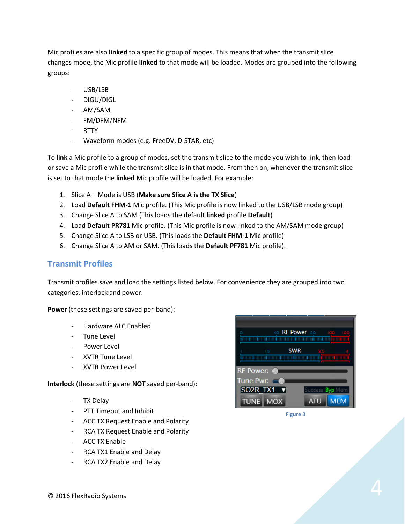Mic profiles are also **linked** to a specific group of modes. This means that when the transmit slice changes mode, the Mic profile **linked** to that mode will be loaded. Modes are grouped into the following groups:

- USB/LSB
- DIGU/DIGL
- AM/SAM
- FM/DFM/NFM
- RTTY
- Waveform modes (e.g. FreeDV, D-STAR, etc)

To **link** a Mic profile to a group of modes, set the transmit slice to the mode you wish to link, then load or save a Mic profile while the transmit slice is in that mode. From then on, whenever the transmit slice is set to that mode the **linked** Mic profile will be loaded. For example:

- 1. Slice A Mode is USB (**Make sure Slice A is the TX Slice**)
- 2. Load **Default FHM-1** Mic profile. (This Mic profile is now linked to the USB/LSB mode group)
- 3. Change Slice A to SAM (This loads the default **linked** profile **Default**)
- 4. Load **Default PR781** Mic profile. (This Mic profile is now linked to the AM/SAM mode group)
- 5. Change Slice A to LSB or USB. (This loads the **Default FHM-1** Mic profile)
- 6. Change Slice A to AM or SAM. (This loads the **Default PF781** Mic profile).

#### **Transmit Profiles**

Transmit profiles save and load the settings listed below. For convenience they are grouped into two categories: interlock and power.

**Power** (these settings are saved per-band):

- Hardware ALC Enabled
- Tune Level
- Power Level
- XVTR Tune Level
- XVTR Power Level

**Interlock** (these settings are **NOT** saved per-band):

- TX Delay
- PTT Timeout and Inhibit
- ACC TX Request Enable and Polarity
- RCA TX Request Enable and Polarity
- ACC TX Enable
- RCA TX1 Enable and Delay
- RCA TX2 Enable and Delay



**Figure 3**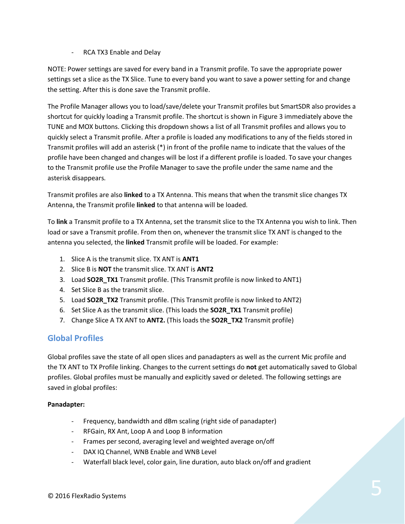#### - RCA TX3 Enable and Delay

NOTE: Power settings are saved for every band in a Transmit profile. To save the appropriate power settings set a slice as the TX Slice. Tune to every band you want to save a power setting for and change the setting. After this is done save the Transmit profile.

The Profile Manager allows you to load/save/delete your Transmit profiles but SmartSDR also provides a shortcut for quickly loading a Transmit profile. The shortcut is shown in Figure 3 immediately above the TUNE and MOX buttons. Clicking this dropdown shows a list of all Transmit profiles and allows you to quickly select a Transmit profile. After a profile is loaded any modifications to any of the fields stored in Transmit profiles will add an asterisk (\*) in front of the profile name to indicate that the values of the profile have been changed and changes will be lost if a different profile is loaded. To save your changes to the Transmit profile use the Profile Manager to save the profile under the same name and the asterisk disappears.

Transmit profiles are also **linked** to a TX Antenna. This means that when the transmit slice changes TX Antenna, the Transmit profile **linked** to that antenna will be loaded.

To **link** a Transmit profile to a TX Antenna, set the transmit slice to the TX Antenna you wish to link. Then load or save a Transmit profile. From then on, whenever the transmit slice TX ANT is changed to the antenna you selected, the **linked** Transmit profile will be loaded. For example:

- 1. Slice A is the transmit slice. TX ANT is **ANT1**
- 2. Slice B is **NOT** the transmit slice. TX ANT is **ANT2**
- 3. Load **SO2R\_TX1** Transmit profile. (This Transmit profile is now linked to ANT1)
- 4. Set Slice B as the transmit slice.
- 5. Load **SO2R\_TX2** Transmit profile. (This Transmit profile is now linked to ANT2)
- 6. Set Slice A as the transmit slice. (This loads the **SO2R\_TX1** Transmit profile)
- 7. Change Slice A TX ANT to **ANT2.** (This loads the **SO2R\_TX2** Transmit profile)

## **Global Profiles**

Global profiles save the state of all open slices and panadapters as well as the current Mic profile and the TX ANT to TX Profile linking. Changes to the current settings do **not** get automatically saved to Global profiles. Global profiles must be manually and explicitly saved or deleted. The following settings are saved in global profiles:

#### **Panadapter:**

- Frequency, bandwidth and dBm scaling (right side of panadapter)
- RFGain, RX Ant, Loop A and Loop B information
- Frames per second, averaging level and weighted average on/off
- DAX IQ Channel, WNB Enable and WNB Level
- Waterfall black level, color gain, line duration, auto black on/off and gradient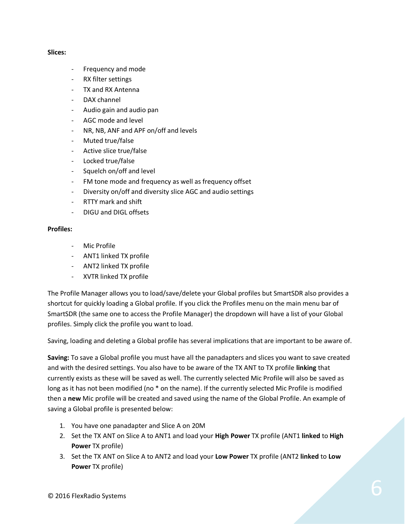#### **Slices:**

- Frequency and mode
- RX filter settings
- TX and RX Antenna
- DAX channel
- Audio gain and audio pan
- AGC mode and level
- NR, NB, ANF and APF on/off and levels
- Muted true/false
- Active slice true/false
- Locked true/false
- Squelch on/off and level
- FM tone mode and frequency as well as frequency offset
- Diversity on/off and diversity slice AGC and audio settings
- RTTY mark and shift
- DIGU and DIGL offsets

#### **Profiles:**

- Mic Profile
- ANT1 linked TX profile
- ANT2 linked TX profile
- XVTR linked TX profile

The Profile Manager allows you to load/save/delete your Global profiles but SmartSDR also provides a shortcut for quickly loading a Global profile. If you click the Profiles menu on the main menu bar of SmartSDR (the same one to access the Profile Manager) the dropdown will have a list of your Global profiles. Simply click the profile you want to load.

Saving, loading and deleting a Global profile has several implications that are important to be aware of.

**Saving:** To save a Global profile you must have all the panadapters and slices you want to save created and with the desired settings. You also have to be aware of the TX ANT to TX profile **linking** that currently exists as these will be saved as well. The currently selected Mic Profile will also be saved as long as it has not been modified (no  $*$  on the name). If the currently selected Mic Profile is modified then a **new** Mic profile will be created and saved using the name of the Global Profile. An example of saving a Global profile is presented below:

- 1. You have one panadapter and Slice A on 20M
- 2. Set the TX ANT on Slice A to ANT1 and load your **High Power** TX profile (ANT1 **linked** to **High Power** TX profile)
- 3. Set the TX ANT on Slice A to ANT2 and load your **Low Power** TX profile (ANT2 **linked** to **Low Power** TX profile)